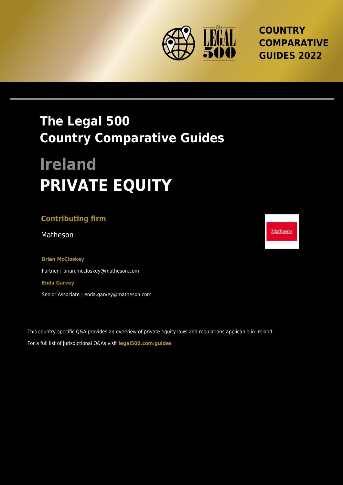

**COUNTRY COMPARATIVE GUIDES 2022**

## **The Legal 500 Country Comparative Guides**

# **Ireland PRIVATE EQUITY**

### **Contributing firm**

Matheson Matheson and the state of the state of the Matheson and Matheson and Matheson and Matheson and Matheson and Matheson and Matheson and Matheson and Matheson and Matheson and Matheson and Matheson and Matheson and M

**Brian McCloskey** Partner **|** brian.mccloskey@matheson.com **Enda Garvey** Senior Associate **|** enda.garvey@matheson.com

This country-specific Q&A provides an overview of private equity laws and regulations applicable in Ireland. For a full list of jurisdictional Q&As visit **[legal500.com/guides](https://www.legal500.com/guides/)**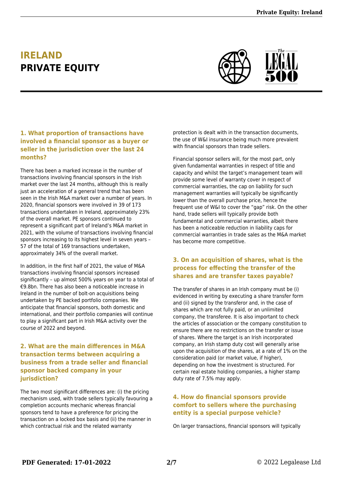## **IRELAND PRIVATE EQUITY**



#### **1. What proportion of transactions have involved a financial sponsor as a buyer or seller in the jurisdiction over the last 24 months?**

There has been a marked increase in the number of transactions involving financial sponsors in the Irish market over the last 24 months, although this is really just an acceleration of a general trend that has been seen in the Irish M&A market over a number of years. In 2020, financial sponsors were involved in 39 of 173 transactions undertaken in Ireland, approximately 23% of the overall market. PE sponsors continued to represent a significant part of Ireland's M&A market in 2021, with the volume of transactions involving financial sponsors increasing to its highest level in seven years – 57 of the total of 169 transactions undertaken, approximately 34% of the overall market.

In addition, in the first half of 2021, the value of M&A transactions involving financial sponsors increased significantly – up almost 500% years on year to a total of €9.8bn. There has also been a noticeable increase in Ireland in the number of bolt-on acquisitions being undertaken by PE backed portfolio companies. We anticipate that financial sponsors, both domestic and international, and their portfolio companies will continue to play a significant part in Irish M&A activity over the course of 2022 and beyond.

#### **2. What are the main differences in M&A transaction terms between acquiring a business from a trade seller and financial sponsor backed company in your jurisdiction?**

The two most significant differences are: (i) the pricing mechanism used, with trade sellers typically favouring a completion accounts mechanic whereas financial sponsors tend to have a preference for pricing the transaction on a locked box basis and (ii) the manner in which contractual risk and the related warranty

protection is dealt with in the transaction documents, the use of W&I insurance being much more prevalent with financial sponsors than trade sellers.

Financial sponsor sellers will, for the most part, only given fundamental warranties in respect of title and capacity and whilst the target's management team will provide some level of warranty cover in respect of commercial warranties, the cap on liability for such management warranties will typically be significantly lower than the overall purchase price, hence the frequent use of W&I to cover the "gap" risk. On the other hand, trade sellers will typically provide both fundamental and commercial warranties, albeit there has been a noticeable reduction in liability caps for commercial warranties in trade sales as the M&A market has become more competitive.

#### **3. On an acquisition of shares, what is the process for effecting the transfer of the shares and are transfer taxes payable?**

The transfer of shares in an Irish company must be (i) evidenced in writing by executing a share transfer form and (ii) signed by the transferor and, in the case of shares which are not fully paid, or an unlimited company, the transferee. It is also important to check the articles of association or the company constitution to ensure there are no restrictions on the transfer or issue of shares. Where the target is an Irish incorporated company, an Irish stamp duty cost will generally arise upon the acquisition of the shares, at a rate of 1% on the consideration paid (or market value, if higher), depending on how the investment is structured. For certain real estate holding companies, a higher stamp duty rate of 7.5% may apply.

#### **4. How do financial sponsors provide comfort to sellers where the purchasing entity is a special purpose vehicle?**

On larger transactions, financial sponsors will typically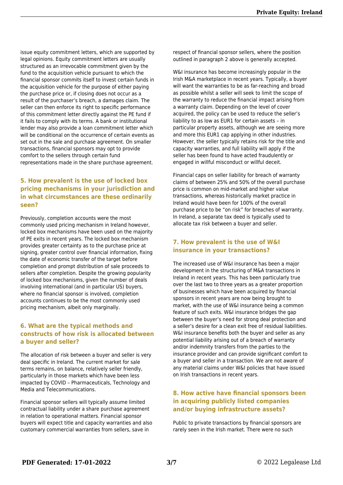issue equity commitment letters, which are supported by legal opinions. Equity commitment letters are usually structured as an irrevocable commitment given by the fund to the acquisition vehicle pursuant to which the financial sponsor commits itself to invest certain funds in the acquisition vehicle for the purpose of either paying the purchase price or, if closing does not occur as a result of the purchaser's breach, a damages claim. The seller can then enforce its right to specific performance of this commitment letter directly against the PE fund if it fails to comply with its terms. A bank or institutional lender may also provide a loan commitment letter which will be conditional on the occurrence of certain events as set out in the sale and purchase agreement. On smaller transactions, financial sponsors may opt to provide comfort to the sellers through certain fund representations made in the share purchase agreement.

#### **5. How prevalent is the use of locked box pricing mechanisms in your jurisdiction and in what circumstances are these ordinarily seen?**

Previously, completion accounts were the most commonly used pricing mechanism in Ireland however, locked box mechanisms have been used on the majority of PE exits in recent years. The locked box mechanism provides greater certainty as to the purchase price at signing, greater control over financial information, fixing the date of economic transfer of the target before completion and prompt distribution of sale proceeds to sellers after completion. Despite the growing popularity of locked box mechanisms, given the number of deals involving international (and in particular US) buyers, where no financial sponsor is involved, completion accounts continues to be the most commonly used pricing mechanism, albeit only marginally.

#### **6. What are the typical methods and constructs of how risk is allocated between a buyer and seller?**

The allocation of risk between a buyer and seller is very deal specific in Ireland. The current market for sale terms remains, on balance, relatively seller friendly, particularly in those markets which have been less impacted by COVID – Pharmaceuticals, Technology and Media and Telecommunications.

Financial sponsor sellers will typically assume limited contractual liability under a share purchase agreement in relation to operational matters. Financial sponsor buyers will expect title and capacity warranties and also customary commercial warranties from sellers, save in

respect of financial sponsor sellers, where the position outlined in paragraph 2 above is generally accepted.

W&I insurance has become increasingly popular in the Irish M&A marketplace in recent years. Typically, a buyer will want the warranties to be as far-reaching and broad as possible whilst a seller will seek to limit the scope of the warranty to reduce the financial impact arising from a warranty claim. Depending on the level of cover acquired, the policy can be used to reduce the seller's liability to as low as EUR1 for certain assets – in particular property assets, although we are seeing more and more this EUR1 cap applying in other industries. However, the seller typically retains risk for the title and capacity warranties, and full liability will apply if the seller has been found to have acted fraudulently or engaged in willful misconduct or willful deceit.

Financial caps on seller liability for breach of warranty claims of between 25% and 50% of the overall purchase price is common on mid-market and higher value transactions, whereas historically market practice in Ireland would have been for 100% of the overall purchase price to be "on risk" for breaches of warranty. In Ireland, a separate tax deed is typically used to allocate tax risk between a buyer and seller.

#### **7. How prevalent is the use of W&I insurance in your transactions?**

The increased use of W&I insurance has been a major development in the structuring of M&A transactions in Ireland in recent years. This has been particularly true over the last two to three years as a greater proportion of businesses which have been acquired by financial sponsors in recent years are now being brought to market, with the use of W&I insurance being a common feature of such exits. W&I insurance bridges the gap between the buyer's need for strong deal protection and a seller's desire for a clean exit free of residual liabilities. W&I insurance benefits both the buyer and seller as any potential liability arising out of a breach of warranty and/or indemnity transfers from the parties to the insurance provider and can provide significant comfort to a buyer and seller in a transaction. We are not aware of any material claims under W&I policies that have issued on Irish transactions in recent years.

#### **8. How active have financial sponsors been in acquiring publicly listed companies and/or buying infrastructure assets?**

Public to private transactions by financial sponsors are rarely seen in the Irish market. There were no such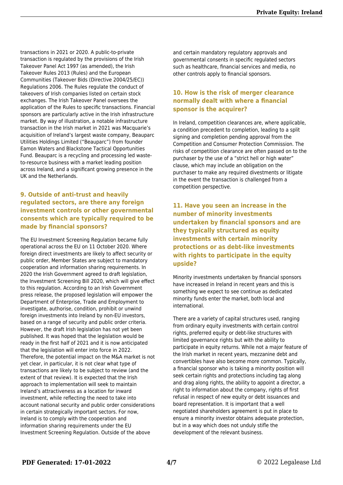transactions in 2021 or 2020. A public-to-private transaction is regulated by the provisions of the Irish Takeover Panel Act 1997 (as amended), the Irish Takeover Rules 2013 (Rules) and the European Communities (Takeover Bids (Directive 2004/25/EC)) Regulations 2006. The Rules regulate the conduct of takeovers of Irish companies listed on certain stock exchanges. The Irish Takeover Panel oversees the application of the Rules to specific transactions. Financial sponsors are particularly active in the Irish infrastructure market. By way of illustration, a notable infrastructure transaction in the Irish market in 2021 was Macquarie's acquisition of Ireland's largest waste company, Beauparc Utilities Holdings Limited ("Beauparc") from founder Eamon Waters and Blackstone Tactical Opportunities Fund. Beauparc is a recycling and processing led wasteto-resource business with a market leading position across Ireland, and a significant growing presence in the UK and the Netherlands.

#### **9. Outside of anti-trust and heavily regulated sectors, are there any foreign investment controls or other governmental consents which are typically required to be made by financial sponsors?**

The EU Investment Screening Regulation became fully operational across the EU on 11 October 2020. Where foreign direct investments are likely to affect security or public order, Member States are subject to mandatory cooperation and information sharing requirements. In 2020 the Irish Government agreed to draft legislation, the Investment Screening Bill 2020, which will give effect to this regulation. According to an Irish Government press release, the proposed legislation will empower the Department of Enterprise, Trade and Employment to investigate, authorise, condition, prohibit or unwind foreign investments into Ireland by non-EU investors, based on a range of security and public order criteria. However, the draft Irish legislation has not yet been published. It was hoped that the legislation would be ready in the first half of 2021 and it is now anticipated that the legislation will enter into force in 2022. Therefore, the potential impact on the M&A market is not yet clear, in particular, it is not clear what type of transactions are likely to be subject to review (and the extent of that review). It is expected that the Irish approach to implementation will seek to maintain Ireland's attractiveness as a location for inward investment, while reflecting the need to take into account national security and public order considerations in certain strategically important sectors. For now, Ireland is to comply with the cooperation and information sharing requirements under the EU Investment Screening Regulation. Outside of the above

and certain mandatory regulatory approvals and governmental consents in specific regulated sectors such as healthcare, financial services and media, no other controls apply to financial sponsors.

#### **10. How is the risk of merger clearance normally dealt with where a financial sponsor is the acquirer?**

In Ireland, competition clearances are, where applicable, a condition precedent to completion, leading to a split signing and completion pending approval from the Competition and Consumer Protection Commission. The risks of competition clearance are often passed on to the purchaser by the use of a "strict hell or high water" clause, which may include an obligation on the purchaser to make any required divestments or litigate in the event the transaction is challenged from a competition perspective.

**11. Have you seen an increase in the number of minority investments undertaken by financial sponsors and are they typically structured as equity investments with certain minority protections or as debt-like investments with rights to participate in the equity upside?**

Minority investments undertaken by financial sponsors have increased in Ireland in recent years and this is something we expect to see continue as dedicated minority funds enter the market, both local and international.

There are a variety of capital structures used, ranging from ordinary equity investments with certain control rights, preferred equity or debt-like structures with limited governance rights but with the ability to participate in equity returns. While not a major feature of the Irish market in recent years, mezzanine debt and convertibles have also become more common. Typically, a financial sponsor who is taking a minority position will seek certain rights and protections including tag along and drag along rights, the ability to appoint a director, a right to information about the company, rights of first refusal in respect of new equity or debt issuances and board representation. It is important that a well negotiated shareholders agreement is put in place to ensure a minority investor obtains adequate protection, but in a way which does not unduly stifle the development of the relevant business.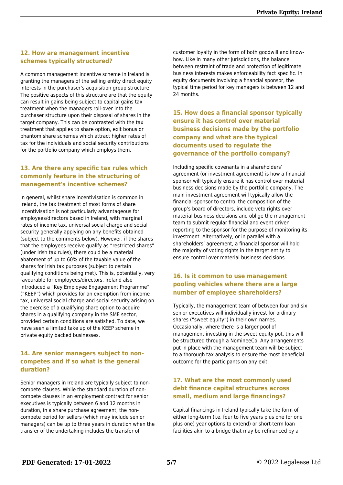#### **12. How are management incentive schemes typically structured?**

A common management incentive scheme in Ireland is granting the managers of the selling entity direct equity interests in the purchaser's acquisition group structure. The positive aspects of this structure are that the equity can result in gains being subject to capital gains tax treatment when the managers roll-over into the purchaser structure upon their disposal of shares in the target company. This can be contrasted with the tax treatment that applies to share option, exit bonus or phantom share schemes which attract higher rates of tax for the individuals and social security contributions for the portfolio company which employs them.

#### **13. Are there any specific tax rules which commonly feature in the structuring of management's incentive schemes?**

In general, whilst share incentivisation is common in Ireland, the tax treatment of most forms of share incentivisation is not particularly advantageous for employees/directors based in Ireland, with marginal rates of income tax, universal social charge and social security generally applying on any benefits obtained (subject to the comments below). However, if the shares that the employees receive qualify as "restricted shares" (under Irish tax rules), there could be a material abatement of up to 60% of the taxable value of the shares for Irish tax purposes (subject to certain qualifying conditions being met). This is, potentially, very favourable for employees/directors. Ireland also introduced a "Key Employee Engagement Programme" ("KEEP") which provides for an exemption from income tax, universal social charge and social security arising on the exercise of a qualifying share option to acquire shares in a qualifying company in the SME sector, provided certain conditions are satisfied. To date, we have seen a limited take up of the KEEP scheme in private equity backed businesses.

#### **14. Are senior managers subject to noncompetes and if so what is the general duration?**

Senior managers in Ireland are typically subject to noncompete clauses. While the standard duration of noncompete clauses in an employment contract for senior executives is typically between 6 and 12 months in duration, in a share purchase agreement, the noncompete period for sellers (which may include senior managers) can be up to three years in duration when the transfer of the undertaking includes the transfer of

customer loyalty in the form of both goodwill and knowhow. Like in many other jurisdictions, the balance between restraint of trade and protection of legitimate business interests makes enforceability fact specific. In equity documents involving a financial sponsor, the typical time period for key managers is between 12 and 24 months.

**15. How does a financial sponsor typically ensure it has control over material business decisions made by the portfolio company and what are the typical documents used to regulate the governance of the portfolio company?**

Including specific covenants in a shareholders' agreement (or investment agreement) is how a financial sponsor will typically ensure it has control over material business decisions made by the portfolio company. The main investment agreement will typically allow the financial sponsor to control the composition of the group's board of directors, include veto rights over material business decisions and oblige the management team to submit regular financial and event driven reporting to the sponsor for the purpose of monitoring its investment. Alternatively, or in parallel with a shareholders' agreement, a financial sponsor will hold the majority of voting rights in the target entity to ensure control over material business decisions.

#### **16. Is it common to use management pooling vehicles where there are a large number of employee shareholders?**

Typically, the management team of between four and six senior executives will individually invest for ordinary shares ("sweet equity") in their own names. Occasionally, where there is a larger pool of management investing in the sweet equity pot, this will be structured through a NomineeCo. Any arrangements put in place with the management team will be subject to a thorough tax analysis to ensure the most beneficial outcome for the participants on any exit.

#### **17. What are the most commonly used debt finance capital structures across small, medium and large financings?**

Capital financings in Ireland typically take the form of either long-term (i.e. four to five years plus one (or one plus one) year options to extend) or short-term loan facilities akin to a bridge that may be refinanced by a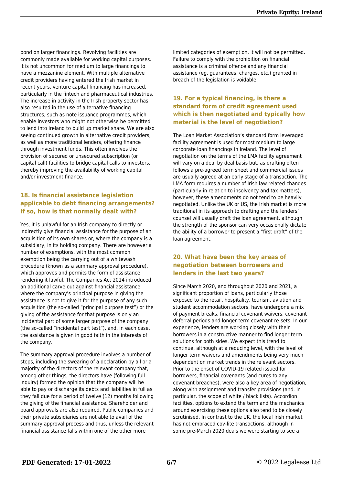bond on larger financings. Revolving facilities are commonly made available for working capital purposes. It is not uncommon for medium to large financings to have a mezzanine element. With multiple alternative credit providers having entered the Irish market in recent years, venture capital financing has increased, particularly in the fintech and pharmaceutical industries. The increase in activity in the Irish property sector has also resulted in the use of alternative financing structures, such as note issuance programmes, which enable investors who might not otherwise be permitted to lend into Ireland to build up market share. We are also seeing continued growth in alternative credit providers, as well as more traditional lenders, offering finance through investment funds. This often involves the provision of secured or unsecured subscription (or capital call) facilities to bridge capital calls to investors, thereby improving the availability of working capital and/or investment finance.

#### **18. Is financial assistance legislation applicable to debt financing arrangements? If so, how is that normally dealt with?**

Yes, it is unlawful for an Irish company to directly or indirectly give financial assistance for the purpose of an acquisition of its own shares or, where the company is a subsidiary, in its holding company. There are however a number of exemptions, with the most common exemption being the carrying out of a whitewash procedure (known as a summary approval procedure), which approves and permits the form of assistance rendering it lawful. The Companies Act 2014 introduced an additional carve out against financial assistance where the company's principal purpose in giving the assistance is not to give it for the purpose of any such acquisition (the so-called "principal purpose test") or the giving of the assistance for that purpose is only an incidental part of some larger purpose of the company (the so-called "incidental part test"), and, in each case, the assistance is given in good faith in the interests of the company.

The summary approval procedure involves a number of steps, including the swearing of a declaration by all or a majority of the directors of the relevant company that, among other things, the directors have (following full inquiry) formed the opinion that the company will be able to pay or discharge its debts and liabilities in full as they fall due for a period of twelve (12) months following the giving of the financial assistance. Shareholder and board approvals are also required. Public companies and their private subsidiaries are not able to avail of the summary approval process and thus, unless the relevant financial assistance falls within one of the other more

limited categories of exemption, it will not be permitted. Failure to comply with the prohibition on financial assistance is a criminal offence and any financial assistance (eg. guarantees, charges, etc.) granted in breach of the legislation is voidable.

#### **19. For a typical financing, is there a standard form of credit agreement used which is then negotiated and typically how material is the level of negotiation?**

The Loan Market Association's standard form leveraged facility agreement is used for most medium to large corporate loan financings in Ireland. The level of negotiation on the terms of the LMA facility agreement will vary on a deal by deal basis but, as drafting often follows a pre-agreed term sheet and commercial issues are usually agreed at an early stage of a transaction. The LMA form requires a number of Irish law related changes (particularly in relation to insolvency and tax matters), however, these amendments do not tend to be heavily negotiated. Unlike the UK or US, the Irish market is more traditional in its approach to drafting and the lenders' counsel will usually draft the loan agreement, although the strength of the sponsor can very occasionally dictate the ability of a borrower to present a "first draft" of the loan agreement.

#### **20. What have been the key areas of negotiation between borrowers and lenders in the last two years?**

Since March 2020, and throughout 2020 and 2021, a significant proportion of loans, particularly those exposed to the retail, hospitality, tourism, aviation and student accommodation sectors, have undergone a mix of payment breaks, financial covenant waivers, covenant deferral periods and longer-term covenant re-sets. In our experience, lenders are working closely with their borrowers in a constructive manner to find longer term solutions for both sides. We expect this trend to continue, although at a reducing level, with the level of longer term waivers and amendments being very much dependent on market trends in the relevant sectors. Prior to the onset of COVID-19 related issued for borrowers, financial covenants (and cures to any covenant breaches), were also a key area of negotiation, along with assignment and transfer provisions (and, in particular, the scope of white / black lists). Accordion facilities, options to extend the term and the mechanics around exercising these options also tend to be closely scrutinised. In contrast to the UK, the local Irish market has not embraced cov-lite transactions, although in some pre-March 2020 deals we were starting to see a